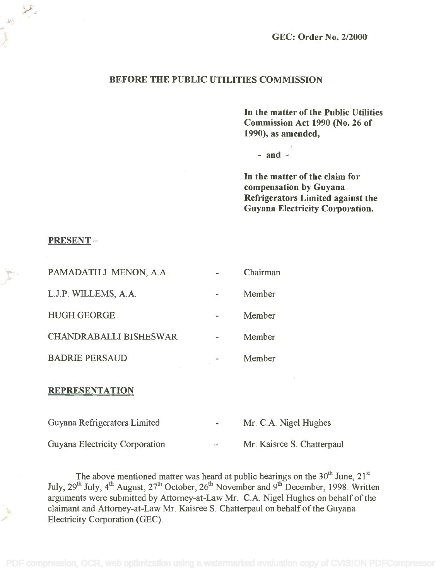## BEFORE THE PUBLIC UTILITIES COMMISSION

In the matter of the Public Utilities **In** the matter of the Public Utilities Commission Act 1990 (No. 26 of Commission Act 1990 (No. 26 of 1990), as amended, 1990), as amended,

 $-$  and  $-$ 

In the matter of the claim for **In** the matter of the claim for compensation by Guyana compensation by Guyana Refrigerators Limited against the Refrigerators Limited against the Guyana Electricity Corporation. Guyana Electricity Corporation.

### PRESENT

التعليم

| PAMADATH J. MENON, A.A.       | Chairman |
|-------------------------------|----------|
| L.J.P. WILLEMS, A.A.          | Member   |
| <b>HUGH GEORGE</b>            | Member   |
| <b>CHANDRABALLI BISHESWAR</b> | Member   |
| <b>BADRIE PERSAUD</b>         | Member   |

#### REPRESENTATION

| Guyana Refrigerators Limited   | $\sim$ 10 $\pm$ | Mr. C.A. Nigel Hughes      |
|--------------------------------|-----------------|----------------------------|
| Guyana Electricity Corporation | $\lambda$ mass  | Mr. Kaisree S. Chatterpaul |

The above mentioned matter was heard at public hearings on the  $30<sup>th</sup>$  June,  $21<sup>st</sup>$ July,  $29<sup>th</sup>$  July,  $4<sup>th</sup>$  August,  $27<sup>th</sup>$  October,  $26<sup>th</sup>$  November and  $9<sup>th</sup>$  December, 1998. Written arguments were submitted by Attorney-at-Law Mr. C.A. Nigel Hughes on behalf of the arguments were submitted by Attorney-at-Law Mr. c.A. Nigel Hughes on behalf ofthe claimant and Attorney-at-Law Mr. Kaisree S. Chatterpaul on behalf of the Guyana claimant and Attorney-at-Law Mr. Kaisree S. Chatterpaul on behalf of the Guyana Electricity Corporation (GEC). Electricity Corporation (GEC). The above mentioned matter was heard at public hearings on the  $30<sup>th</sup>$  June,  $21<sup>s</sup>$ July, 29<sup>th</sup> July, 4<sup>th</sup> August, 27<sup>th</sup> October, 26<sup>th</sup> November and 9<sup>th</sup> December, 1998. Writter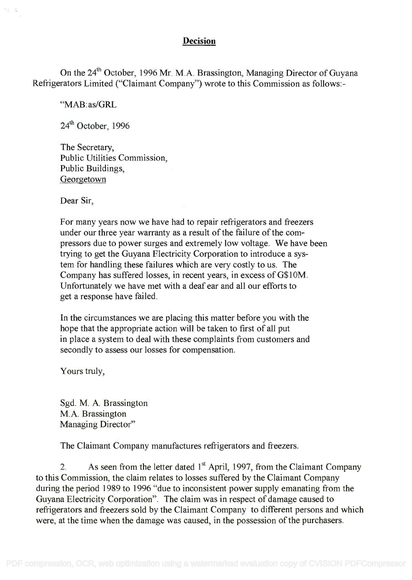## Decision

On the 24<sup>th</sup> October, 1996 Mr. M.A. Brassington, Managing Director of Guyana Refrigerators Limited ("Claimant Company") wrote to this Commission as follows:- Refrigerators Limited ("Claimant Company") wrote to this Commission as follows:-

"MAB:as/GRL

24<sup>th</sup> October, 1996

The Secretary, The Secretary, Public Utilities Commission, Public Utilities Commission, Public Buildings, Public Buildings, Georgetown Georgetown

Dear Sir,

For many years now we have had to repair refrigerators and freezers For many years now we have had to repair refrigerators and freezers under our three year warranty as a result of the failure of the com-under our three year warranty as a result of the failure of the compressors due to power surges and extremely low voltage. We have been pressors due to power surges and extremely low voltage. We have been trying to get the Guyana Flectricity Corporation to introduce a sys-trying to get the Guyana Electricity Corporation to introduce a system for handling these failures which are very costly to us. The Company has suffered losses, in recent years, in excess of G\$10M. Company has suffered losses, in recent years, in excess of G\$1 OM. Unfortunately we have met with a deaf ear and all our efforts to Unfortunately we have met with a deaf ear and all our efforts to get a response have failed. get a response have failed.

In the circumstances we are placing this matter before you with the In the circumstances we are placing this matter before you with the hope that the appropriate action will be taken to first of all put hope that the appropriate action will be taken to first of all put in place a system to deal with these complaints from customers and in place a system to deal with these complaints from customers and secondly to assess our losses for compensation. secondly to assess our losses for compensation.

Yours truly,

Sgd. M. A. Brassington Sgd. M. A. Brassington M.A. Brassington M.A. Brassington Managing Director" Managing Director"

The Claimant Company manufactures refrigerators and freezers.

2. As seen from the letter dated  $1<sup>st</sup>$  April, 1997, from the Claimant Company to this Commission, the claim relates to losses suffered by the Claimant Company to this Commission, the claim relates to losses suffered by the Claimant Company during the period 1989 to 1996 "due to inconsistent power supply emanating from the during the period 1989 to 1996 "due to inconsistent power supply emanating from the Guyana Electricity Corporation". The claim was in respect of damage caused to Guyana Electricity Corporation". The claim was in respect of damage caused to refrigerators and freezers sold by the Claimant Company to different persons and which refrigerators and freezers sold by the Claimant Company to different persons and which were, at the time when the damage was caused, in the possession of the purchasers. were, at the time when the damage was caused, in the possession of the purchasers.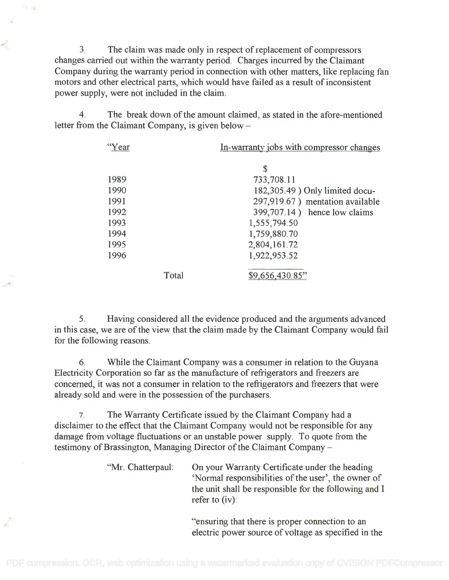3. The claim was made only in respect of replacement of compressors 3. The claim was made only in respect of replacement of compressors changes carried out within the warranty period. Charges incurred by the Claimant changes carried out within the warranty period. Charges incurred by the Claimant Company during the warranty period in connection with other matters, like replacing fan Company during the warranty period in connection with other matters, like replacing fan motors and other electrical parts, which would have failed as a result of inconsistent motors and other electrical parts, which would have failed as a result of inconsistent power supply, were not included in the claim. power supply, were not included in the claim.

4. The break down of the amount claimed, as stated in the afore-mentioned 4. The break down of the amount claimed, as stated in the afore-mentioned letter from the Claimant Company, is given below letter from the Claimant Company, is given below -

| "Year |       | In-warranty jobs with compressor changes |  |
|-------|-------|------------------------------------------|--|
|       |       | S                                        |  |
| 1989  |       | 733,708.11                               |  |
| 1990  |       | 182,305.49) Only limited docu-           |  |
| 1991  |       | 297,919.67) mentation available          |  |
| 1992  |       | 399,707.14) hence low claims             |  |
| 1993  |       | 1,555,794.50                             |  |
| 1994  |       | 1,759,880.70                             |  |
| 1995  |       | 2,804,161.72                             |  |
| 1996  |       | 1,922,953.52                             |  |
|       | Total | \$9,656,430.85"                          |  |

5. Having considered all the evidence produced and the arguments advanced 5. Having considered all the evidence produced and the arguments advanced in this case, we are of the view that the claim made by the Claimant Company would fail in this case, we are of the view that the claim made by the Claimant Company would fail for the following reasons. for the following reasons.

6. While the Claimant Company was a consumer in relation to the Guyana 6. While the Claimant Company was a consumer in relation to the Guyana Electricity Corporation so far as the manufacture of refrigerators and freezers are Electricity Corporation so far as the manufacture of refrigerators and freezers are concerned, it was not a consumer in relation to the refrigerators and freezers that were concerned, it was not a consumer in relation to the refrigerators and freezers that were already sold and were in the possession of the purchasers. already sold and were in the possession of the purchasers.

7. The Warranty Certificate issued by the Claimant Company had a 7. The Warranty Certificate issued by the Claimant Company had a disclaimer to the effect that the Claimant Company would not be responsible for any disclaimer to the effect that the Claimant Company would not be responsible for any damage from voltage fluctuations or an unstable power supply. To quote from the damage from voltage fluctuations or an unstable power supply. To quote from the testimony of Brassington, Managing Director of the Claimant Company -

> "Mr. Chatterpaul: On your Warranty Certificate under the heading On your Warranty Certificate under the heading `Normal responsibilities of the user', the owner of 'Normal responsibilities of the user', the owner of the unit shall be responsible for the following and I refer to (iv): refer to (iv):

> > "ensuring that there is proper connection to an "ensuring that there is proper connection to an electric power source of voltage as specified in the electric power source of voltage as specified in the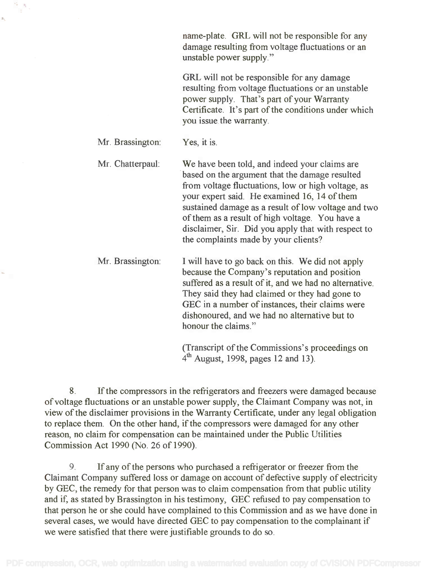name-plate. GRL will not be responsible for any name-plate. GRL will not be responsible for any damage resulting from voltage fluctuations or an damage resulting from voltage fluctuations or an unstable power supply." unstable power supply."

GRL will not be responsible for any damage GRL will not be responsible for any damage resulting from voltage fluctuations or an unstable resulting from voltage fluctuations or an unstable power supply. That's part of your Warranty power supply. That's part of your Warranty Certificate. It's part of the conditions under which Certificate. It's part of the conditions under which you issue the warranty. you issue the warranty.

Mr. Brassington: Yes, it is.

Mr. Chatterpaul: We have been told, and indeed your claims are We have been told, and indeed your claims are based on the argument that the damage resulted based on the argument that the damage resulted from voltage fluctuations, low or high voltage, as from voltage fluctuations, low or high voltage, as your expert said. He examined 16, 14 of them your expert said. He examined 16, 14 of them sustained damage as a result of low voltage and two sustained damage as a result of low voltage and two of them as a result of high voltage. You have a of them as a result of high voltage. You have a disclaimer, Sir. Did you apply that with respect to disclaimer, Sir. Did you apply that with respect to the complaints made by your clients? the complaints made by your clients?

Mr. Brassington: I will have to go back on this. We did not apply I will have to go back on this. We did not apply because the Company's reputation and position because the Company's reputation and position suffered as a result of it, and we had no alternative. suffered as a result of it, and we had no alternative. They said they had claimed or they had gone to They said they had claimed or they had gone to GEC in a number of instances, their claims were GEC in a number of instances, their claims were dishonoured, and we had no alternative but to dishonoured, and we had no alternative but to honour the claims." honour the claims."

> (Transcript of the Commissions's proceedings on (Transcript of the Commissions's proceedings on  $4<sup>th</sup>$  August, 1998, pages 12 and 13).

8. If the compressors in the refrigerators and freezers were damaged because 8. If the compressors in the refrigerators and freezers were damaged because of voltage fluctuations or an unstable power supply, the Claimant Company was not, in of voltage fluctuations or an unstable power supply, the Claimant Company was not, in view of the disclaimer provisions in the Warranty Certificate, under any legal obligation view of the disclaimer provisions in the Warranty Certificate, under any legal obligation to replace them. On the other hand, if the compressors were damaged for any other to replace them. On the other hand, if the compressors were damaged for any other reason, no claim for compensation can be maintained under the Public Utilities reason, no claim for compensation can be maintained under the Public Utilities Commission Act 1990 (No. 26 of 1990). Commission Act 1990 (No. 26 of 1990).

9. If any of the persons who purchased a refrigerator or freezer from the 9. If any of the persons who purchased a refrigerator or freezer from the Claimant Company suffered loss or damage on account of defective supply of electricity Claimant Company suffered loss or damage on account of defective supply of electricity by GEC, the remedy for that person was to claim compensation from that public utility by GEC, the remedy for that person was to claim compensation from that public utility and if, as stated by Brassington in his testimony, GEC refused to pay compensation to and if, as stated by Brassington in his testimony, GEC refused to pay compensation to that person he or she could have complained to this Commission and as we have done in that person he or she could have complained to this Commission and as we have done in several cases, we would have directed GEC to pay compensation to the complainant if several cases, we would have directed GEC to pay compensation to the complainant if we were satisfied that there were justifiable grounds to do so. we were satisfied that there were justifiable grounds to do so.